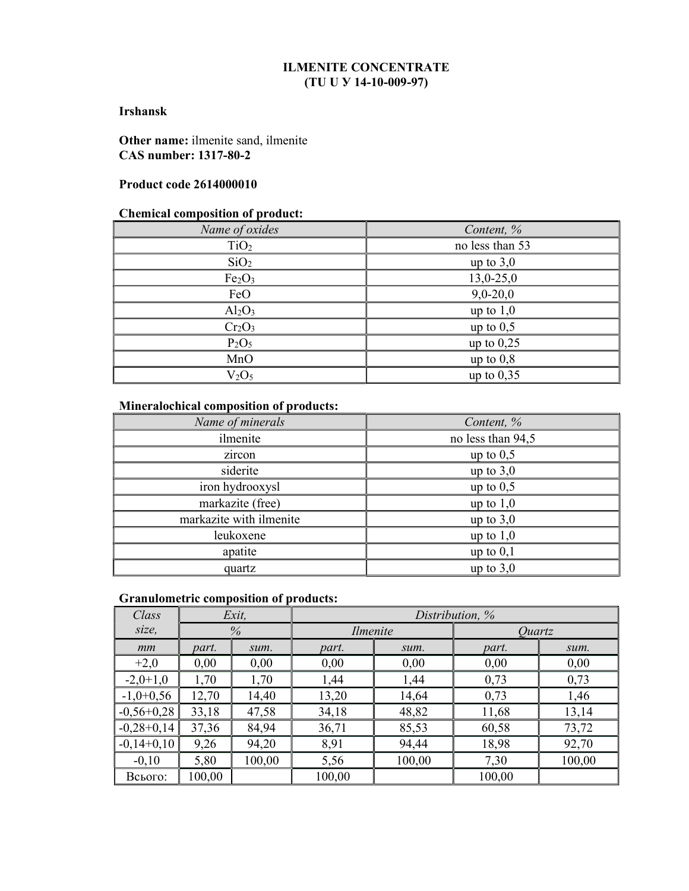## ILMENITE CONCENTRATE (TU U У 14-10-009-97)

### Irshansk

Other name: ilmenite sand, ilmenite CAS number: 1317-80-2

### Product code 2614000010

### Chemical composition of product:

| Name of oxides                 | Content, %      |
|--------------------------------|-----------------|
| TiO <sub>2</sub>               | no less than 53 |
| SiO <sub>2</sub>               | up to $3,0$     |
| Fe <sub>2</sub> O <sub>3</sub> | $13,0-25,0$     |
| FeO                            | $9,0-20,0$      |
| $Al_2O_3$                      | up to $1,0$     |
| Cr <sub>2</sub> O <sub>3</sub> | up to $0,5$     |
| P <sub>2</sub> O <sub>5</sub>  | up to $0,25$    |
| MnO                            | up to $0,8$     |
| V <sub>2</sub> O <sub>5</sub>  | up to $0,35$    |

# Mineralochical composition of products:

| Name of minerals        | Content, %        |  |
|-------------------------|-------------------|--|
| ilmenite                | no less than 94,5 |  |
| zircon                  | up to $0,5$       |  |
| siderite                | up to $3,0$       |  |
| iron hydrooxysl         | up to $0,5$       |  |
| markazite (free)        | up to $1,0$       |  |
| markazite with ilmenite | up to $3,0$       |  |
| leukoxene               | up to $1,0$       |  |
| apatite                 | up to $0,1$       |  |
| quartz                  | up to $3,0$       |  |

### Granulometric composition of products:

| Class        |        | $Exit$ , |          |        | Distribution, % |        |
|--------------|--------|----------|----------|--------|-----------------|--------|
| size,        |        | $\%$     | Ilmenite |        | <i>Ouartz</i>   |        |
| mm           | part.  | sum.     | part.    | sum.   | part.           | sum.   |
| $+2,0$       | 0,00   | 0,00     | 0,00     | 0,00   | 0,00            | 0,00   |
| $-2,0+1,0$   | 1,70   | 1,70     | 1,44     | 1,44   | 0,73            | 0,73   |
| $-1,0+0,56$  | 12,70  | 14,40    | 13,20    | 14,64  | 0,73            | 1,46   |
| $-0,56+0,28$ | 33,18  | 47,58    | 34,18    | 48,82  | 11,68           | 13,14  |
| $-0,28+0,14$ | 37,36  | 84,94    | 36,71    | 85,53  | 60,58           | 73,72  |
| $-0,14+0,10$ | 9,26   | 94,20    | 8,91     | 94,44  | 18,98           | 92,70  |
| $-0,10$      | 5,80   | 100,00   | 5,56     | 100,00 | 7,30            | 100,00 |
| Всього:      | 100,00 |          | 100,00   |        | 100,00          |        |